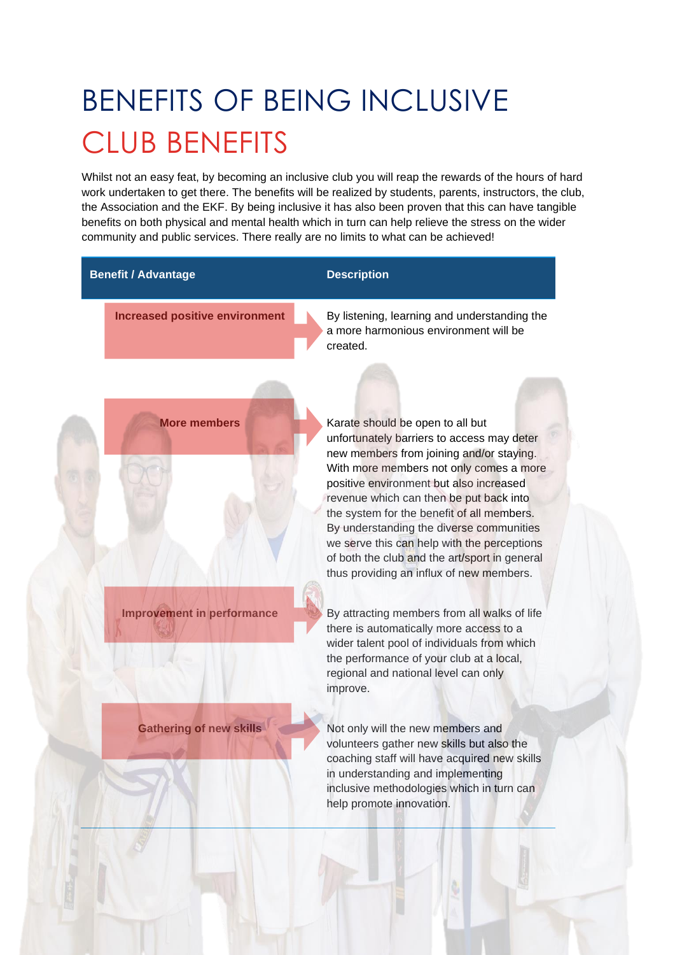# BENEFITS OF BEING INCLUSIVE CLUB BENEFITS

Whilst not an easy feat, by becoming an inclusive club you will reap the rewards of the hours of hard work undertaken to get there. The benefits will be realized by students, parents, instructors, the club, the Association and the EKF. By being inclusive it has also been proven that this can have tangible benefits on both physical and mental health which in turn can help relieve the stress on the wider community and public services. There really are no limits to what can be achieved!

### **Benefit / Advantage Description COVIDENT**

**Increased positive environment** By listening, learning and understanding the a more harmonious environment will be created.



**More members More members** Karate should be open to all but unfortunately barriers to access may deter new members from joining and/or staying. With more members not only comes a more positive environment but also increased revenue which can then be put back into the system for the benefit of all members. By understanding the diverse communities we serve this can help with the perceptions of both the club and the art/sport in general thus providing an influx of new members.

**Improvement in performance** By attracting members from all walks of life there is automatically more access to a wider talent pool of individuals from which the performance of your club at a local, regional and national level can only improve.

**Gathering of new skills** Not only will the new members and volunteers gather new skills but also the coaching staff will have acquired new skills in understanding and implementing inclusive methodologies which in turn can help promote innovation.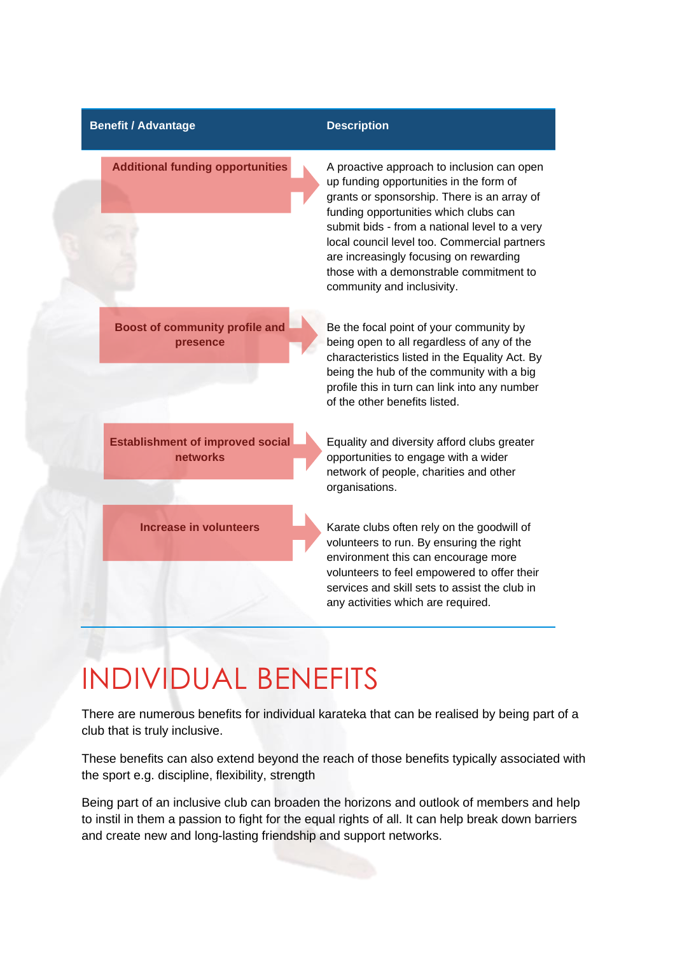### **Benefit / Advantage Description COVIDENT**

Additional funding opportunities A proactive approach to inclusion can open up funding opportunities in the form of grants or sponsorship. There is an array of funding opportunities which clubs can submit bids - from a national level to a very local council level too. Commercial partners are increasingly focusing on rewarding those with a demonstrable commitment to community and inclusivity.

**Boost of community profile and presence**

**Establishment of improved social networks**

Be the focal point of your community by being open to all regardless of any of the characteristics listed in the Equality Act. By being the hub of the community with a big profile this in turn can link into any number of the other benefits listed.

Equality and diversity afford clubs greater opportunities to engage with a wider network of people, charities and other organisations.

**Increase in volunteers** Karate clubs often rely on the goodwill of volunteers to run. By ensuring the right environment this can encourage more volunteers to feel empowered to offer their services and skill sets to assist the club in any activities which are required.

### INDIVIDUAL BENEFITS

There are numerous benefits for individual karateka that can be realised by being part of a club that is truly inclusive.

These benefits can also extend beyond the reach of those benefits typically associated with the sport e.g. discipline, flexibility, strength

Being part of an inclusive club can broaden the horizons and outlook of members and help to instil in them a passion to fight for the equal rights of all. It can help break down barriers and create new and long-lasting friendship and support networks.